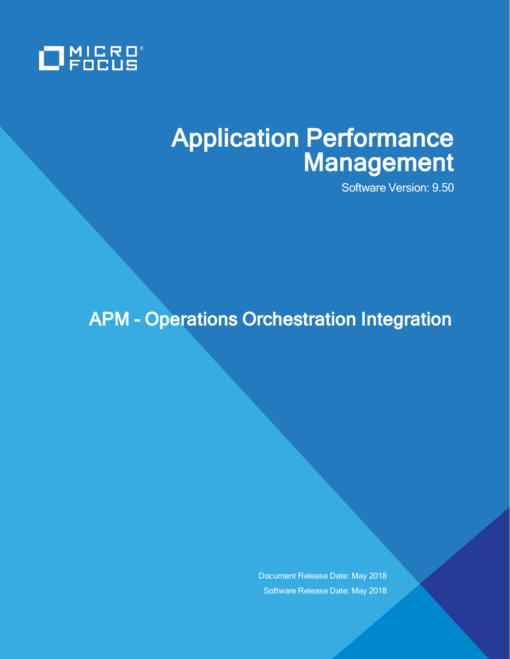

# Application Performance Management

Software Version: 9.50

APM - Operations Orchestration Integration

Document Release Date: May 2018 Software Release Date: May 2018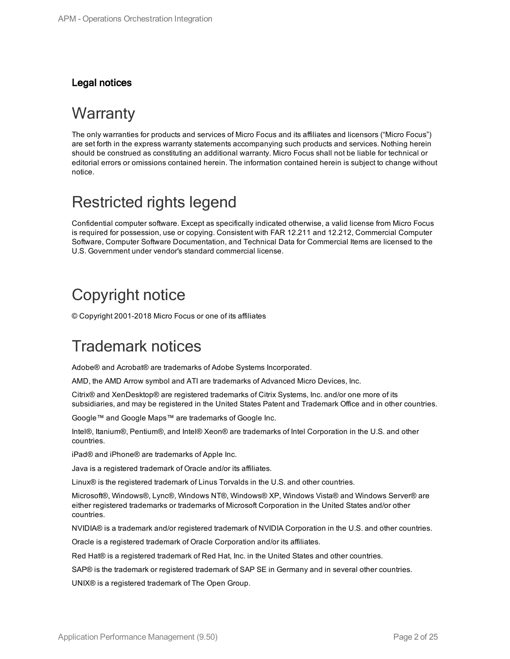#### Legal notices

### **Warranty**

The only warranties for products and services of Micro Focus and its affiliates and licensors ("Micro Focus") are set forth in the express warranty statements accompanying such products and services. Nothing herein should be construed as constituting an additional warranty. Micro Focus shall not be liable for technical or editorial errors or omissions contained herein. The information contained herein is subject to change without notice.

### Restricted rights legend

Confidential computer software. Except as specifically indicated otherwise, a valid license from Micro Focus is required for possession, use or copying. Consistent with FAR 12.211 and 12.212, Commercial Computer Software, Computer Software Documentation, and Technical Data for Commercial Items are licensed to the U.S. Government under vendor's standard commercial license.

### Copyright notice

© Copyright 2001-2018 Micro Focus or one of its affiliates

### Trademark notices

Adobe® and Acrobat® are trademarks of Adobe Systems Incorporated.

AMD, the AMD Arrow symbol and ATI are trademarks of Advanced Micro Devices, Inc.

Citrix® and XenDesktop® are registered trademarks of Citrix Systems, Inc. and/or one more of its subsidiaries, and may be registered in the United States Patent and Trademark Office and in other countries.

Google™ and Google Maps™ are trademarks of Google Inc.

Intel®, Itanium®, Pentium®, and Intel® Xeon® are trademarks of Intel Corporation in the U.S. and other countries.

iPad® and iPhone® are trademarks of Apple Inc.

Java is a registered trademark of Oracle and/or its affiliates.

Linux® is the registered trademark of Linus Torvalds in the U.S. and other countries.

Microsoft®, Windows®, Lync®, Windows NT®, Windows® XP, Windows Vista® and Windows Server® are either registered trademarks or trademarks of Microsoft Corporation in the United States and/or other countries.

NVIDIA® is a trademark and/or registered trademark of NVIDIA Corporation in the U.S. and other countries.

Oracle is a registered trademark of Oracle Corporation and/or its affiliates.

Red Hat® is a registered trademark of Red Hat, Inc. in the United States and other countries.

SAP® is the trademark or registered trademark of SAP SE in Germany and in several other countries.

UNIX® is a registered trademark of The Open Group.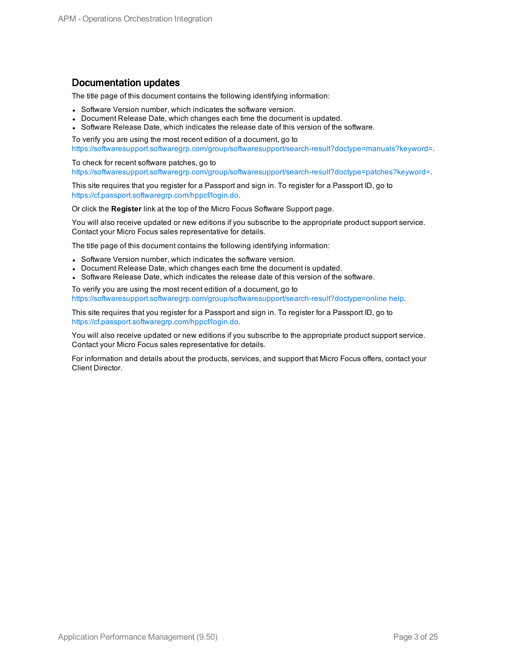#### Documentation updates

The title page of this document contains the following identifying information:

- Software Version number, which indicates the software version.
- Document Release Date, which changes each time the document is updated.
- Software Release Date, which indicates the release date of this version of the software.

To verify you are using the most recent edition of a document, go to [https://softwaresupport.softwaregrp.com/group/softwaresupport/search-result?doctype=manuals?keyword=.](https://softwaresupport.softwaregrp.com/group/softwaresupport/search-result?doctype=manuals?keyword=)

To check for recent software patches, go to [https://softwaresupport.softwaregrp.com/group/softwaresupport/search-result?doctype=patches?keyword=.](https://softwaresupport.softwaregrp.com/group/softwaresupport/search-result?doctype=patches?keyword=)

This site requires that you register for a Passport and sign in. To register for a Passport ID, go to <https://cf.passport.softwaregrp.com/hppcf/login.do>.

Or click the **Register** link at the top of the Micro Focus Software Support page.

You will also receive updated or new editions if you subscribe to the appropriate product support service. Contact your Micro Focus sales representative for details.

The title page of this document contains the following identifying information:

- Software Version number, which indicates the software version.
- Document Release Date, which changes each time the document is updated.
- Software Release Date, which indicates the release date of this version of the software.

To verify you are using the most recent edition of a document, go to [https://softwaresupport.softwaregrp.com/group/softwaresupport/search-result?doctype=online](https://softwaresupport.softwaregrp.com/group/softwaresupport/search-result?doctype=online help) help.

This site requires that you register for a Passport and sign in. To register for a Passport ID, go to <https://cf.passport.softwaregrp.com/hppcf/login.do>.

You will also receive updated or new editions if you subscribe to the appropriate product support service. Contact your Micro Focus sales representative for details.

For information and details about the products, services, and support that Micro Focus offers, contact your Client Director.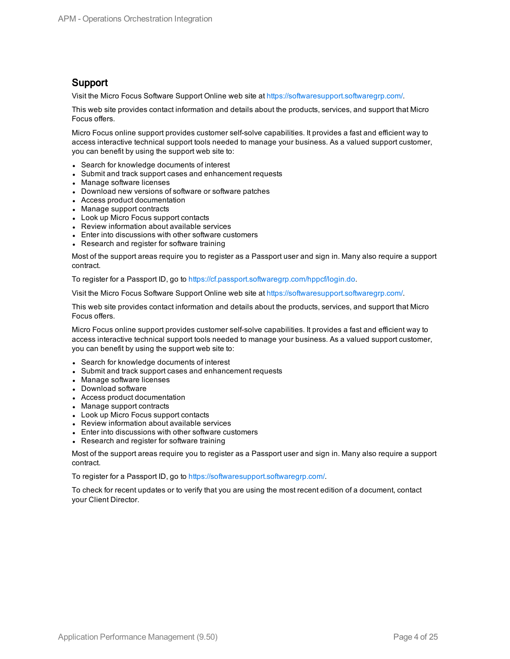#### Support

Visit the Micro Focus Software Support Online web site at [https://softwaresupport.softwaregrp.com/.](https://softwaresupport.softwaregrp.com/)

This web site provides contact information and details about the products, services, and support that Micro Focus offers.

Micro Focus online support provides customer self-solve capabilities. It provides a fast and efficient way to access interactive technical support tools needed to manage your business. As a valued support customer, you can benefit by using the support web site to:

- Search for knowledge documents of interest
- Submit and track support cases and enhancement requests
- Manage software licenses
- Download new versions of software or software patches
- Access product documentation
- Manage support contracts
- Look up Micro Focus support contacts
- Review information about available services
- Enter into discussions with other software customers
- Research and register for software training

Most of the support areas require you to register as a Passport user and sign in. Many also require a support contract.

To register for a Passport ID, go to [https://cf.passport.softwaregrp.com/hppcf/login.do.](https://cf.passport.softwaregrp.com/hppcf/login.do)

Visit the Micro Focus Software Support Online web site at [https://softwaresupport.softwaregrp.com/.](https://softwaresupport.softwaregrp.com/)

This web site provides contact information and details about the products, services, and support that Micro Focus offers.

Micro Focus online support provides customer self-solve capabilities. It provides a fast and efficient way to access interactive technical support tools needed to manage your business. As a valued support customer, you can benefit by using the support web site to:

- Search for knowledge documents of interest
- Submit and track support cases and enhancement requests
- Manage software licenses
- Download software
- Access product documentation
- Manage support contracts
- Look up Micro Focus support contacts
- Review information about available services
- Enter into discussions with other software customers
- Research and register for software training

Most of the support areas require you to register as a Passport user and sign in. Many also require a support contract.

To register for a Passport ID, go to <https://softwaresupport.softwaregrp.com/>.

To check for recent updates or to verify that you are using the most recent edition of a document, contact your Client Director.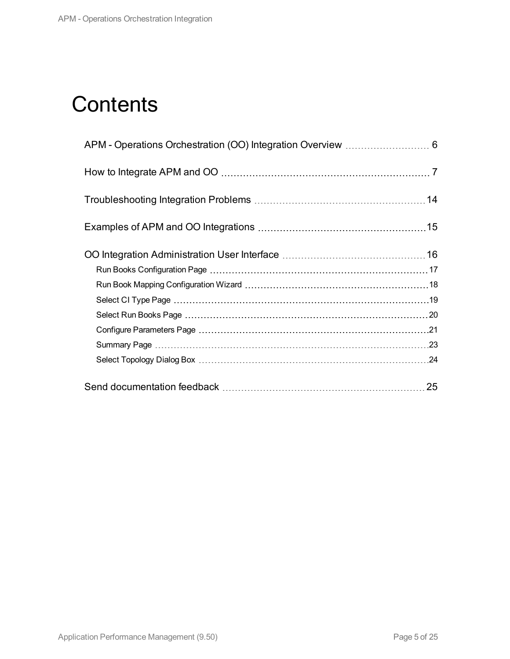# **Contents**

| 25 |
|----|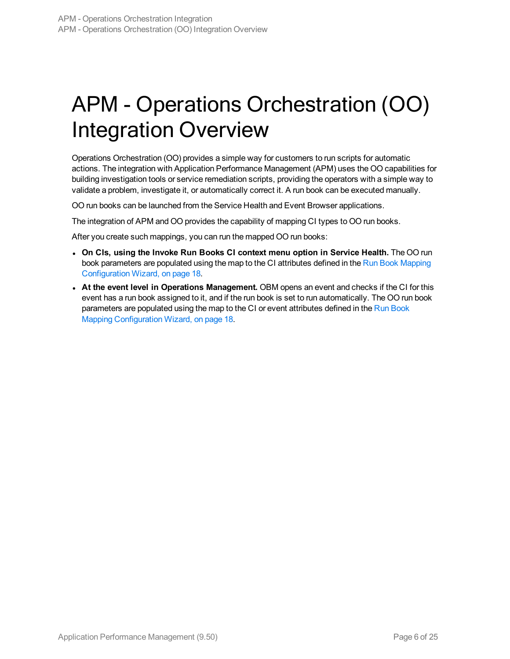# <span id="page-5-0"></span>APM - Operations Orchestration (OO) Integration Overview

Operations Orchestration (OO) provides a simple way for customers to run scripts for automatic actions. The integration with Application Performance Management (APM) uses the OO capabilities for building investigation tools or service remediation scripts, providing the operators with a simple way to validate a problem, investigate it, or automatically correct it. A run book can be executed manually.

OO run books can be launched from the Service Health and Event Browser applications.

The integration of APM and OO provides the capability of mapping CI types to OO run books.

After you create such mappings, you can run the mapped OO run books:

- <sup>l</sup> **On CIs, using the Invoke Run Books CI context menu option in Service Health.** The OO run book parameters are populated using the map to the CI attributes defined in the Run Book [Mapping](#page-17-0) [Configuration](#page-17-0) Wizard, on page 18.
- <sup>l</sup> **At the event level in Operations Management.** OBM opens an event and checks if the CI for this event has a run book assigned to it, and if the run book is set to run automatically. The OO run book parameters are populated using the map to the CI or event attributes defined in the Run [Book](#page-17-0) Mapping [Configuration](#page-17-0) Wizard, on page 18.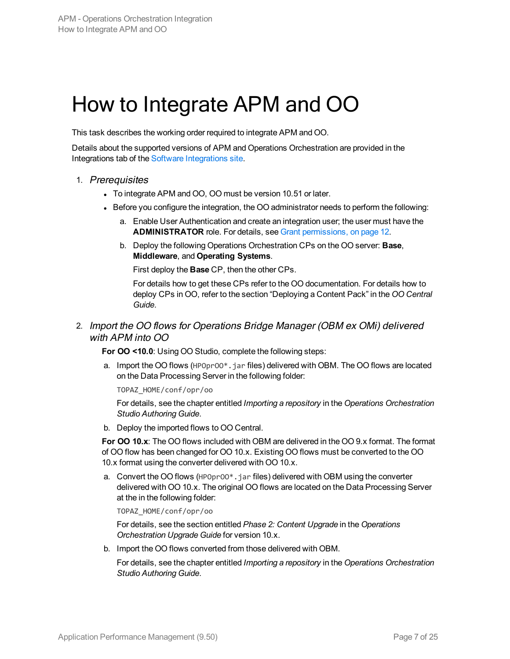# <span id="page-6-0"></span>How to Integrate APM and OO

This task describes the working order required to integrate APM and OO.

Details about the supported versions of APM and Operations Orchestration are provided in the Integrations tab of the Software [Integrations](http://support.openview.hp.com/sc/solutions/index.jsp#tab=tab3) site.

- 1. Prerequisites
	- To integrate APM and OO, OO must be version 10.51 or later.
	- Before you configure the integration, the OO administrator needs to perform the following:
		- a. Enable User Authentication and create an integration user; the user must have the **ADMINISTRATOR** role. For details, see Grant [permissions,](#page-11-0) on page 12.
		- b. Deploy the following Operations Orchestration CPs on the OO server: **Base**, **Middleware**, and **Operating Systems**.

First deploy the **Base** CP, then the other CPs.

For details how to get these CPs refer to the OO documentation. For details how to deploy CPs in OO, refer to the section "Deploying a Content Pack" in the *OO Central Guide*.

#### 2. Import the OO flows for Operations Bridge Manager (OBM ex OMi) delivered with APM into OO

**For OO <10.0**: Using OO Studio, complete the following steps:

a. Import the OO flows (HPOprOO\*.jar files) delivered with OBM. The OO flows are located on the Data Processing Server in the following folder:

TOPAZ\_HOME/conf/opr/oo

For details, see the chapter entitled *Importing a repository* in the *Operations Orchestration Studio Authoring Guide*.

b. Deploy the imported flows to OO Central.

**For OO 10.x**: The OO flows included with OBM are delivered in the OO 9.x format. The format of OO flow has been changed for OO 10.x. Existing OO flows must be converted to the OO 10.x format using the converter delivered with OO 10.x.

a. Convert the OO flows (HPOprOO\*.jar files) delivered with OBM using the converter delivered with OO 10.x. The original OO flows are located on the Data Processing Server at the in the following folder:

#### TOPAZ\_HOME/conf/opr/oo

For details, see the section entitled *Phase 2: Content Upgrade* in the *Operations Orchestration Upgrade Guide* for version 10.x.

b. Import the OO flows converted from those delivered with OBM.

For details, see the chapter entitled *Importing a repository* in the *Operations Orchestration Studio Authoring Guide*.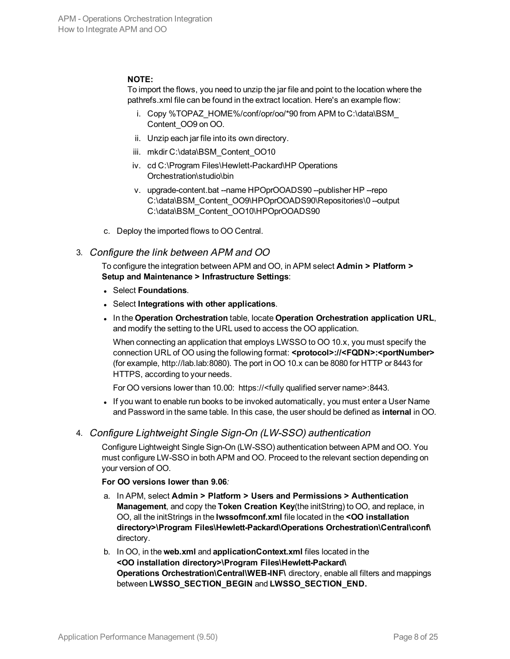#### **NOTE:**

To import the flows, you need to unzip the jar file and point to the location where the pathrefs.xml file can be found in the extract location. Here's an example flow:

- i. Copy %TOPAZ\_HOME%/conf/opr/oo/\*90 from APM to C:\data\BSM\_ Content\_OO9 on OO.
- ii. Unzip each jar file into its own directory.
- iii. mkdir C:\data\BSM\_Content\_OO10
- iv. cd C:\Program Files\Hewlett-Packard\HP Operations Orchestration\studio\bin
- v. upgrade-content.bat --name HPOprOOADS90 --publisher HP --repo C:\data\BSM\_Content\_OO9\HPOprOOADS90\Repositories\0 --output C:\data\BSM\_Content\_OO10\HPOprOOADS90
- c. Deploy the imported flows to OO Central.

#### 3. Configure the link between APM and OO

To configure the integration between APM and OO, in APM select **Admin > Platform > Setup and Maintenance > Infrastructure Settings**:

- <sup>l</sup> Select **Foundations**.
- <sup>l</sup> Select **Integrations with other applications**.
- <sup>l</sup> In the **Operation Orchestration** table, locate **Operation Orchestration application URL**, and modify the setting to the URL used to access the OO application.

When connecting an application that employs LWSSO to OO 10.x, you must specify the connection URL of OO using the following format: **<protocol>://<FQDN>:<portNumber>** (for example, http://lab.lab:8080). The port in OO 10.x can be 8080 for HTTP or 8443 for HTTPS, according to your needs.

For OO versions lower than 10.00: https://<fully qualified server name>:8443.

• If you want to enable run books to be invoked automatically, you must enter a User Name and Password in the same table. In this case, the user should be defined as **internal** in OO.

#### 4. Configure Lightweight Single Sign-On (LW-SSO) authentication

Configure Lightweight Single Sign-On (LW-SSO) authentication between APM and OO. You must configure LW-SSO in both APM and OO. Proceed to the relevant section depending on your version of OO.

#### **For OO versions lower than 9.06***:*

- a. In APM, select **Admin > Platform > Users and Permissions > Authentication Management**, and copy the **Token Creation Key**(the initString) to OO, and replace, in OO, all the initStrings in the **lwssofmconf.xml** file located in the **<OO installation directory>\Program Files\Hewlett-Packard\Operations Orchestration\Central\conf\** directory.
- b. In OO, in the **web.xml** and **applicationContext.xml** files located in the **<OO installation directory>\Program Files\Hewlett-Packard\ Operations Orchestration\Central\WEB-INF\** directory, enable all filters and mappings between **LWSSO\_SECTION\_BEGIN** and **LWSSO\_SECTION\_END.**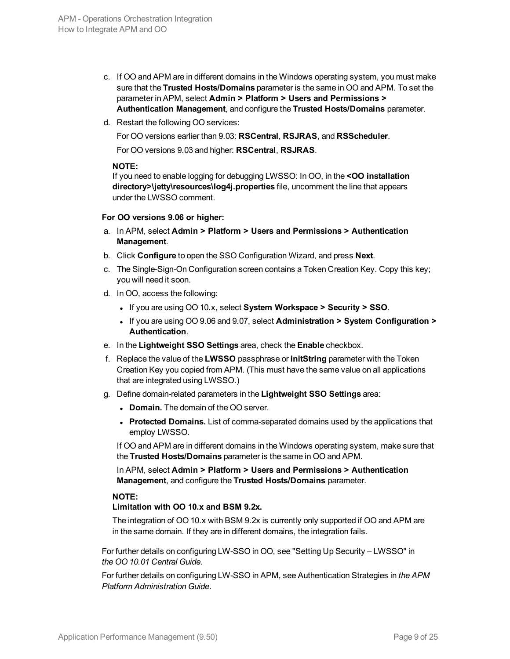- c. If OO and APM are in different domains in the Windows operating system, you must make sure that the **Trusted Hosts/Domains** parameter is the same in OO and APM. To set the parameter in APM, select **Admin > Platform > Users and Permissions > Authentication Management**, and configure the **Trusted Hosts/Domains** parameter.
- d. Restart the following OO services:

For OO versions earlier than 9.03: **RSCentral**, **RSJRAS**, and **RSScheduler**.

For OO versions 9.03 and higher: **RSCentral**, **RSJRAS**.

#### **NOTE:**

If you need to enable logging for debugging LWSSO: In OO, in the **<OO installation directory>\jetty\resources\log4j.properties** file, uncomment the line that appears under the LWSSO comment.

#### **For OO versions 9.06 or higher:**

- a. In APM, select **Admin > Platform > Users and Permissions > Authentication Management**.
- b. Click **Configure** to open the SSO Configuration Wizard, and press **Next**.
- c. The Single-Sign-On Configuration screen contains a Token Creation Key. Copy this key; you will need it soon.
- d. In OO, access the following:
	- <sup>l</sup> If you are using OO 10.x, select **System Workspace > Security > SSO**.
	- <sup>l</sup> If you are using OO 9.06 and 9.07, select **Administration > System Configuration > Authentication**.
- e. In the **Lightweight SSO Settings** area, check the **Enable** checkbox.
- f. Replace the value of the **LWSSO** passphrase or **initString** parameter with the Token Creation Key you copied from APM. (This must have the same value on all applications that are integrated using LWSSO.)
- g. Define domain-related parameters in the **Lightweight SSO Settings** area:
	- **Domain.** The domain of the OO server.
	- **Protected Domains.** List of comma-separated domains used by the applications that employ LWSSO.

If OO and APM are in different domains in the Windows operating system, make sure that the **Trusted Hosts/Domains** parameter is the same in OO and APM.

In APM, select **Admin > Platform > Users and Permissions > Authentication Management**, and configure the **Trusted Hosts/Domains** parameter.

#### **NOTE:**

#### **Limitation with OO 10.x and BSM 9.2x.**

The integration of OO 10.x with BSM 9.2x is currently only supported if OO and APM are in the same domain. If they are in different domains, the integration fails.

For further details on configuring LW-SSO in OO, see "Setting Up Security – LWSSO" in *the OO 10.01 Central Guide*.

For further details on configuring LW-SSO in APM, see Authentication Strategies in *the APM Platform Administration Guide*.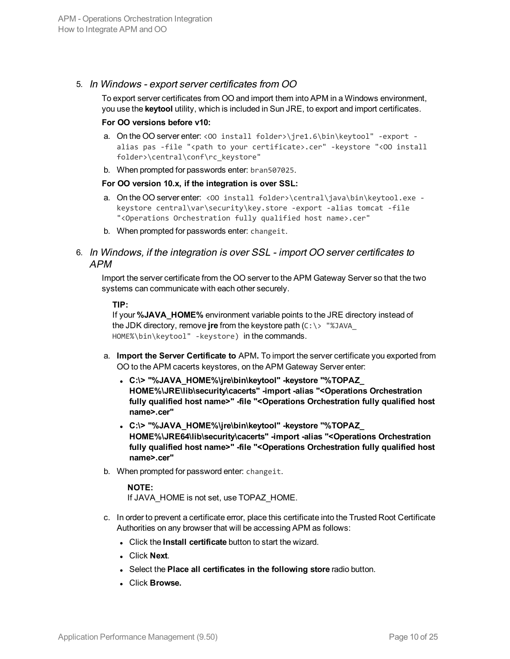#### 5. In Windows - export server certificates from OO

To export server certificates from OO and import them into APM in a Windows environment, you use the **keytool** utility, which is included in Sun JRE, to export and import certificates.

#### **For OO versions before v10:**

- a. On the OO server enter: <00 install folder>\jre1.6\bin\keytool" -export alias pas -file "<path to your certificate>.cer" -keystore "<00 install folder>\central\conf\rc\_keystore"
- b. When prompted for passwords enter: bran507025.

#### **For OO version 10.x, if the integration is over SSL:**

- a. On the OO server enter: <00 install folder>\central\java\bin\keytool.exe keystore central\var\security\key.store -export -alias tomcat -file "<Operations Orchestration fully qualified host name>.cer"
- b. When prompted for passwords enter: changeit.

#### 6. In Windows, if the integration is over SSL - import OO server certificates to APM

Import the server certificate from the OO server to the APM Gateway Server so that the two systems can communicate with each other securely.

#### **TIP:**

If your **%JAVA\_HOME%** environment variable points to the JRE directory instead of the JDK directory, remove **jre** from the keystore path (C:\> "%JAVA\_ HOME%\bin\keytool" -keystore) in the commands.

- a. **Import the Server Certificate to** APM**.** To import the server certificate you exported from OO to the APM cacerts keystores, on the APM Gateway Server enter:
	- <sup>l</sup> **C:\> "%JAVA\_HOME%\jre\bin\keytool" -keystore "%TOPAZ\_ HOME%\JRE\lib\security\cacerts" -import -alias "<Operations Orchestration fully qualified host name>" -file "<Operations Orchestration fully qualified host name>.cer"**
	- <sup>l</sup> **C:\> "%JAVA\_HOME%\jre\bin\keytool" -keystore "%TOPAZ\_ HOME%\JRE64\lib\security\cacerts" -import -alias "<Operations Orchestration fully qualified host name>" -file "<Operations Orchestration fully qualified host name>.cer"**
- b. When prompted for password enter: changeit.

#### **NOTE:**

If JAVA\_HOME is not set, use TOPAZ\_HOME.

- c. In order to prevent a certificate error, place this certificate into the Trusted Root Certificate Authorities on any browser that will be accessing APM as follows:
	- **.** Click the **Install certificate** button to start the wizard.
	- <sup>l</sup> Click **Next**.
	- <sup>l</sup> Select the **Place all certificates in the following store** radio button.
	- <sup>l</sup> Click **Browse.**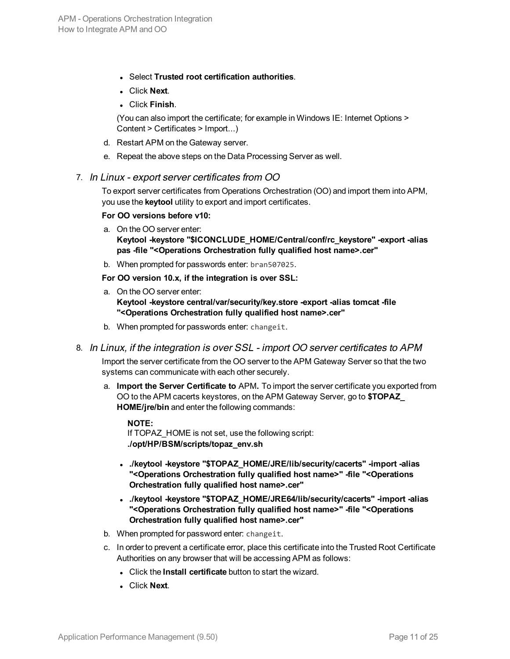- <sup>l</sup> Select **Trusted root certification authorities**.
- <sup>l</sup> Click **Next**.
- <sup>l</sup> Click **Finish**.

(You can also import the certificate; for example in Windows IE: Internet Options > Content > Certificates > Import...)

- d. Restart APM on the Gateway server.
- e. Repeat the above steps on the Data Processing Server as well.

#### 7. In Linux - export server certificates from OO

To export server certificates from Operations Orchestration (OO) and import them into APM, you use the **keytool** utility to export and import certificates.

#### **For OO versions before v10:**

- a. On the OO server enter: **Keytool -keystore "\$ICONCLUDE\_HOME/Central/conf/rc\_keystore" -export -alias pas -file "<Operations Orchestration fully qualified host name>.cer"**
- b. When prompted for passwords enter: bran507025.

**For OO version 10.x, if the integration is over SSL:**

- a. On the OO server enter: **Keytool -keystore central/var/security/key.store -export -alias tomcat -file "<Operations Orchestration fully qualified host name>.cer"**
- b. When prompted for passwords enter: changeit.
- 8. In Linux, if the integration is over SSL import OO server certificates to APM

Import the server certificate from the OO server to the APM Gateway Server so that the two systems can communicate with each other securely.

a. **Import the Server Certificate to** APM**.** To import the server certificate you exported from OO to the APM cacerts keystores, on the APM Gateway Server, go to **\$TOPAZ\_ HOME/jre/bin** and enter the following commands:

#### **NOTE:**

If TOPAZ\_HOME is not set, use the following script: **./opt/HP/BSM/scripts/topaz\_env.sh**

- <sup>l</sup> **./keytool -keystore "\$TOPAZ\_HOME/JRE/lib/security/cacerts" -import -alias "<Operations Orchestration fully qualified host name>" -file "<Operations Orchestration fully qualified host name>.cer"**
- <sup>l</sup> **./keytool -keystore "\$TOPAZ\_HOME/JRE64/lib/security/cacerts" -import -alias "<Operations Orchestration fully qualified host name>" -file "<Operations Orchestration fully qualified host name>.cer"**
- b. When prompted for password enter: changeit.
- c. In order to prevent a certificate error, place this certificate into the Trusted Root Certificate Authorities on any browser that will be accessing APM as follows:
	- **.** Click the **Install certificate** button to start the wizard.
	- **.** Click **Next**.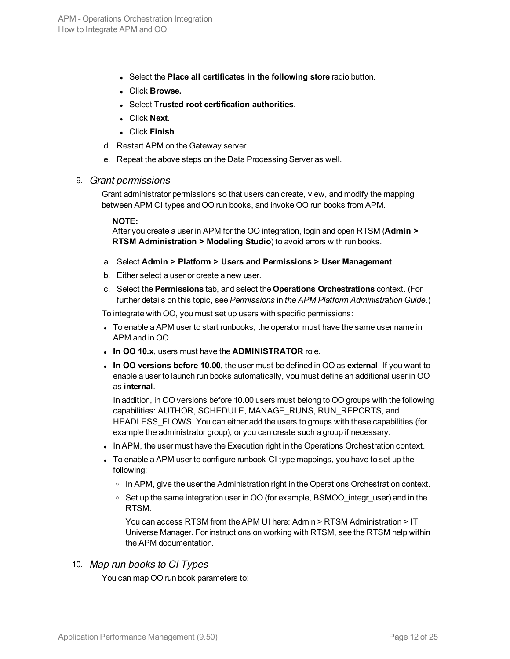- <sup>l</sup> Select the **Place all certificates in the following store** radio button.
- <sup>l</sup> Click **Browse.**
- <sup>l</sup> Select **Trusted root certification authorities**.
- <sup>l</sup> Click **Next**.
- <sup>l</sup> Click **Finish**.
- d. Restart APM on the Gateway server.
- <span id="page-11-0"></span>e. Repeat the above steps on the Data Processing Server as well.

#### 9. Grant permissions

Grant administrator permissions so that users can create, view, and modify the mapping between APM CI types and OO run books, and invoke OO run books from APM.

#### **NOTE:**

After you create a user in APM for the OO integration, login and open RTSM (**Admin > RTSM Administration > Modeling Studio**) to avoid errors with run books.

- a. Select **Admin > Platform > Users and Permissions > User Management**.
- b. Either select a user or create a new user.
- c. Select the **Permissions** tab, and select the **Operations Orchestrations** context. (For further details on this topic, see *Permissions* in *the APM Platform Administration Guide*.)

To integrate with OO, you must set up users with specific permissions:

- To enable a APM user to start runbooks, the operator must have the same user name in APM and in OO.
- **.** In OO 10.x, users must have the **ADMINISTRATOR** role.
- **In OO versions before 10.00**, the user must be defined in OO as external. If you want to enable a user to launch run books automatically, you must define an additional user in OO as **internal**.

In addition, in OO versions before 10.00 users must belong to OO groups with the following capabilities: AUTHOR, SCHEDULE, MANAGE\_RUNS, RUN\_REPORTS, and HEADLESS\_FLOWS. You can either add the users to groups with these capabilities (for example the administrator group), or you can create such a group if necessary.

- In APM, the user must have the Execution right in the Operations Orchestration context.
- To enable a APM user to configure runbook-CI type mappings, you have to set up the following:
	- In APM, give the user the Administration right in the Operations Orchestration context.
	- <sup>o</sup> Set up the same integration user in OO (for example, BSMOO\_integr\_user) and in the RTSM.

You can access RTSM from the APM UI here: Admin > RTSM Administration > IT Universe Manager. For instructions on working with RTSM, see the RTSM help within the APM documentation.

#### 10. Map run books to CI Types

You can map OO run book parameters to: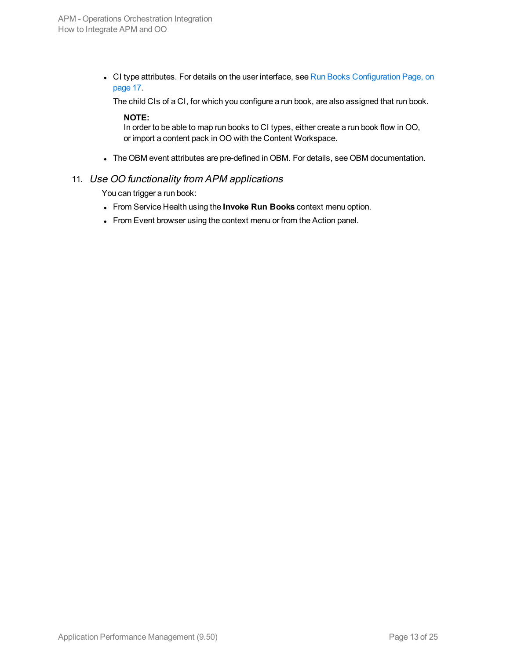• CI type attributes. For details on the user interface, see Run Books [Configuration](#page-16-0) Page, on [page](#page-16-0) 17.

The child CIs of a CI, for which you configure a run book, are also assigned that run book.

#### **NOTE:**

In order to be able to map run books to CI types, either create a run book flow in OO, or import a content pack in OO with the Content Workspace.

The OBM event attributes are pre-defined in OBM. For details, see OBM documentation.

#### 11. Use OO functionality from APM applications

You can trigger a run book:

- <sup>l</sup> From Service Health using the **Invoke Run Books** context menu option.
- From Event browser using the context menu or from the Action panel.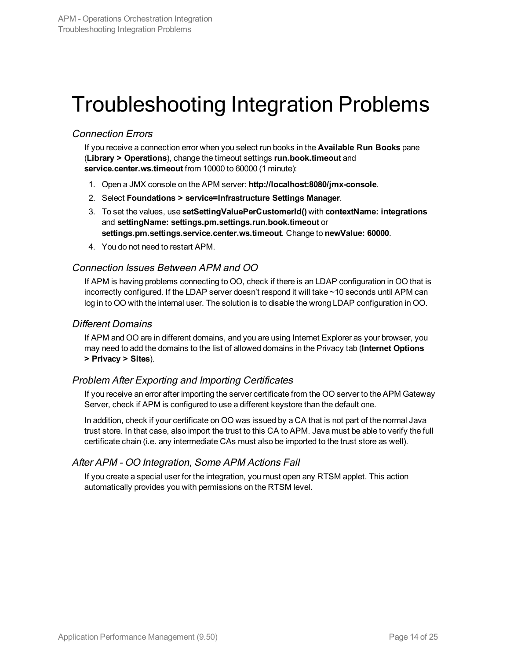# <span id="page-13-0"></span>Troubleshooting Integration Problems

#### Connection Errors

If you receive a connection error when you select run books in the **Available Run Books** pane (**Library > Operations**), change the timeout settings **run.book.timeout** and **service.center.ws.timeout** from 10000 to 60000 (1 minute):

- 1. Open a JMX console on the APM server: **http://localhost:8080/jmx-console**.
- 2. Select **Foundations > service=Infrastructure Settings Manager**.
- 3. To set the values, use **setSettingValuePerCustomerId()** with **contextName: integrations** and **settingName: settings.pm.settings.run.book.timeout** or **settings.pm.settings.service.center.ws.timeout**. Change to **newValue: 60000**.
- 4. You do not need to restart APM.

#### Connection Issues Between APM and OO

If APM is having problems connecting to OO, check if there is an LDAP configuration in OO that is incorrectly configured. If the LDAP server doesn't respond it will take ~10 seconds until APM can log in to OO with the internal user. The solution is to disable the wrong LDAP configuration in OO.

#### Different Domains

If APM and OO are in different domains, and you are using Internet Explorer as your browser, you may need to add the domains to the list of allowed domains in the Privacy tab (**Internet Options > Privacy > Sites**).

#### Problem After Exporting and Importing Certificates

If you receive an error after importing the server certificate from the OO server to the APM Gateway Server, check if APM is configured to use a different keystore than the default one.

In addition, check if your certificate on OO was issued by a CA that is not part of the normal Java trust store. In that case, also import the trust to this CA to APM. Java must be able to verify the full certificate chain (i.e. any intermediate CAs must also be imported to the trust store as well).

#### After APM - OO Integration, Some APM Actions Fail

If you create a special user for the integration, you must open any RTSM applet. This action automatically provides you with permissions on the RTSM level.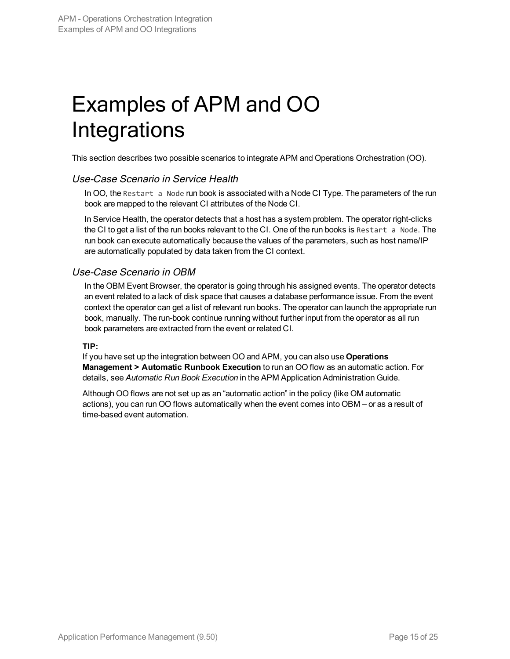# <span id="page-14-0"></span>Examples of APM and OO Integrations

This section describes two possible scenarios to integrate APM and Operations Orchestration (OO).

#### Use-Case Scenario in Service Health

In OO, the Restart a Node run book is associated with a Node CI Type. The parameters of the run book are mapped to the relevant CI attributes of the Node CI.

In Service Health, the operator detects that a host has a system problem. The operator right-clicks the CI to get a list of the run books relevant to the CI. One of the run books is Restart a Node. The run book can execute automatically because the values of the parameters, such as host name/IP are automatically populated by data taken from the CI context.

#### Use-Case Scenario in OBM

In the OBM Event Browser, the operator is going through his assigned events. The operator detects an event related to a lack of disk space that causes a database performance issue. From the event context the operator can get a list of relevant run books. The operator can launch the appropriate run book, manually. The run-book continue running without further input from the operator as all run book parameters are extracted from the event or related CI.

#### **TIP:**

If you have set up the integration between OO and APM, you can also use **Operations Management > Automatic Runbook Execution** to run an OO flow as an automatic action. For details, see *Automatic Run Book Execution* in the APM Application Administration Guide.

Although OO flows are not set up as an "automatic action" in the policy (like OM automatic actions), you can run OO flows automatically when the event comes into OBM – or as a result of time-based event automation.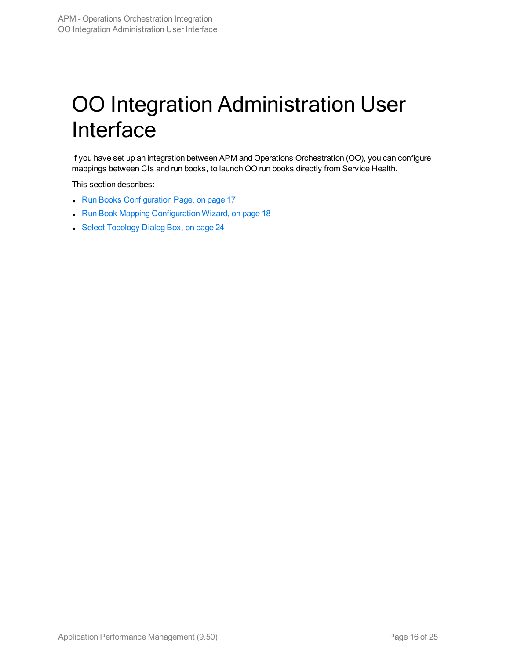# <span id="page-15-0"></span>OO Integration Administration User Interface

If you have set up an integration between APM and Operations Orchestration (OO), you can configure mappings between CIs and run books, to launch OO run books directly from Service Health.

This section describes:

- Run Books [Configuration](#page-16-0) Page, on page 17
- Run Book Mapping [Configuration](#page-17-0) Wizard, on page 18
- Select [Topology](#page-23-0) Dialog Box, on page 24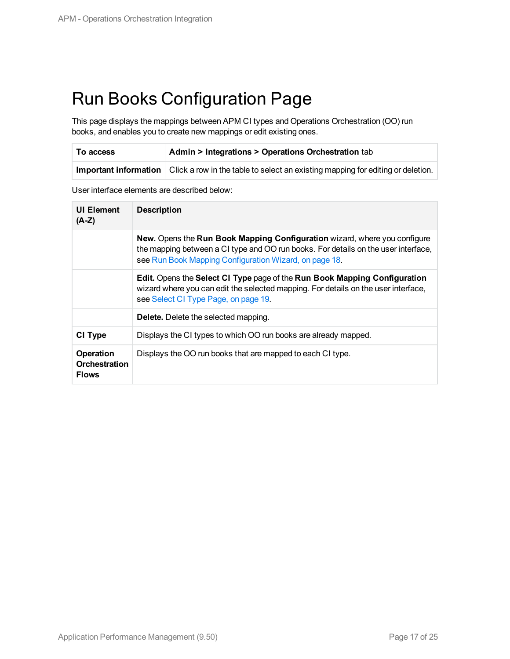### <span id="page-16-0"></span>Run Books Configuration Page

This page displays the mappings between APM CI types and Operations Orchestration (OO) run books, and enables you to create new mappings or edit existing ones.

| To access | <b>Admin &gt; Integrations &gt; Operations Orchestration tab</b>                                        |
|-----------|---------------------------------------------------------------------------------------------------------|
|           | Important information   Click a row in the table to select an existing mapping for editing or deletion. |

User interface elements are described below:

| <b>UI Element</b><br>$(A-Z)$                             | <b>Description</b>                                                                                                                                                                                                        |
|----------------------------------------------------------|---------------------------------------------------------------------------------------------------------------------------------------------------------------------------------------------------------------------------|
|                                                          | New. Opens the Run Book Mapping Configuration wizard, where you configure<br>the mapping between a CI type and OO run books. For details on the user interface,<br>see Run Book Mapping Configuration Wizard, on page 18. |
|                                                          | Edit. Opens the Select CI Type page of the Run Book Mapping Configuration<br>wizard where you can edit the selected mapping. For details on the user interface,<br>see Select CI Type Page, on page 19.                   |
|                                                          | <b>Delete.</b> Delete the selected mapping.                                                                                                                                                                               |
| CI Type                                                  | Displays the CI types to which OO run books are already mapped.                                                                                                                                                           |
| <b>Operation</b><br><b>Orchestration</b><br><b>Flows</b> | Displays the OO run books that are mapped to each CI type.                                                                                                                                                                |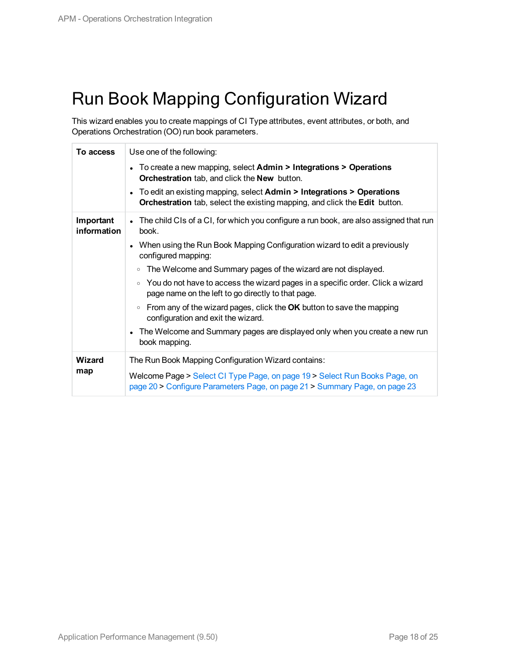## <span id="page-17-0"></span>Run Book Mapping Configuration Wizard

This wizard enables you to create mappings of CI Type attributes, event attributes, or both, and Operations Orchestration (OO) run book parameters.

| <b>To access</b>         | Use one of the following:<br>• To create a new mapping, select $Admin > Integrations > Operations$<br><b>Orchestration</b> tab, and click the <b>New</b> button.<br>• To edit an existing mapping, select Admin > Integrations > Operations<br><b>Orchestration</b> tab, select the existing mapping, and click the <b>Edit</b> button.                                                                                                                                                                                                                                                                                                                                      |
|--------------------------|------------------------------------------------------------------------------------------------------------------------------------------------------------------------------------------------------------------------------------------------------------------------------------------------------------------------------------------------------------------------------------------------------------------------------------------------------------------------------------------------------------------------------------------------------------------------------------------------------------------------------------------------------------------------------|
| Important<br>information | • The child CIs of a CI, for which you configure a run book, are also assigned that run<br>book.<br>• When using the Run Book Mapping Configuration wizard to edit a previously<br>configured mapping:<br>The Welcome and Summary pages of the wizard are not displayed.<br>$\circ$<br>You do not have to access the wizard pages in a specific order. Click a wizard<br>$\circ$<br>page name on the left to go directly to that page.<br>From any of the wizard pages, click the OK button to save the mapping<br>$\circ$<br>configuration and exit the wizard.<br>The Welcome and Summary pages are displayed only when you create a new run<br>$\bullet$<br>book mapping. |
| <b>Wizard</b><br>map     | The Run Book Mapping Configuration Wizard contains:<br>Welcome Page > Select CI Type Page, on page 19 > Select Run Books Page, on<br>page 20 > Configure Parameters Page, on page 21 > Summary Page, on page 23                                                                                                                                                                                                                                                                                                                                                                                                                                                              |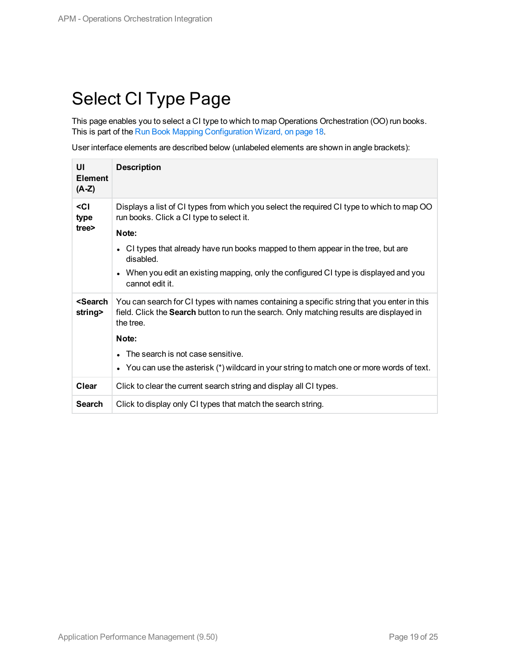## <span id="page-18-0"></span>Select CI Type Page

This page enables you to select a CI type to which to map Operations Orchestration (OO) run books. This is part of the Run Book Mapping [Configuration](#page-17-0) Wizard, on page 18.

User interface elements are described below (unlabeled elements are shown in angle brackets):

| UI<br><b>Element</b><br>$(A-Z)$   | <b>Description</b>                                                                                                                                                                                  |
|-----------------------------------|-----------------------------------------------------------------------------------------------------------------------------------------------------------------------------------------------------|
| <ci<br>type</ci<br>               | Displays a list of CI types from which you select the required CI type to which to map OO<br>run books. Click a CI type to select it.                                                               |
| tree>                             | Note:                                                                                                                                                                                               |
|                                   | CI types that already have run books mapped to them appear in the tree, but are<br>$\bullet$<br>disabled.                                                                                           |
|                                   | When you edit an existing mapping, only the configured CI type is displayed and you<br>$\bullet$<br>cannot edit it.                                                                                 |
| <search<br>string&gt;</search<br> | You can search for CI types with names containing a specific string that you enter in this<br>field. Click the Search button to run the search. Only matching results are displayed in<br>the tree. |
|                                   | Note:                                                                                                                                                                                               |
|                                   | The search is not case sensitive.<br>$\bullet$                                                                                                                                                      |
|                                   | You can use the asterisk (*) wildcard in your string to match one or more words of text.<br>$\bullet$                                                                                               |
| Clear                             | Click to clear the current search string and display all CI types.                                                                                                                                  |
| <b>Search</b>                     | Click to display only CI types that match the search string.                                                                                                                                        |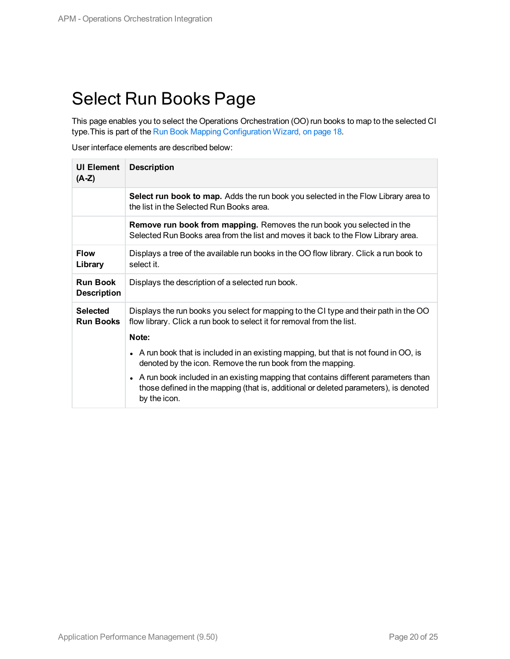### <span id="page-19-0"></span>Select Run Books Page

This page enables you to select the Operations Orchestration (OO) run books to map to the selected CI type.This is part of the Run Book Mapping [Configuration](#page-17-0) Wizard, on page 18.

User interface elements are described below:

| <b>UI Element</b><br>$(A-Z)$          | <b>Description</b>                                                                                                                                                                           |
|---------------------------------------|----------------------------------------------------------------------------------------------------------------------------------------------------------------------------------------------|
|                                       | Select run book to map. Adds the run book you selected in the Flow Library area to<br>the list in the Selected Run Books area.                                                               |
|                                       | <b>Remove run book from mapping.</b> Removes the run book you selected in the<br>Selected Run Books area from the list and moves it back to the Flow Library area.                           |
| <b>Flow</b><br>Library                | Displays a tree of the available run books in the OO flow library. Click a run book to<br>select it.                                                                                         |
| <b>Run Book</b><br><b>Description</b> | Displays the description of a selected run book.                                                                                                                                             |
| <b>Selected</b><br><b>Run Books</b>   | Displays the run books you select for mapping to the CI type and their path in the OO<br>flow library. Click a run book to select it for removal from the list.                              |
|                                       | Note:                                                                                                                                                                                        |
|                                       | • A run book that is included in an existing mapping, but that is not found in OO, is<br>denoted by the icon. Remove the run book from the mapping.                                          |
|                                       | • A run book included in an existing mapping that contains different parameters than<br>those defined in the mapping (that is, additional or deleted parameters), is denoted<br>by the icon. |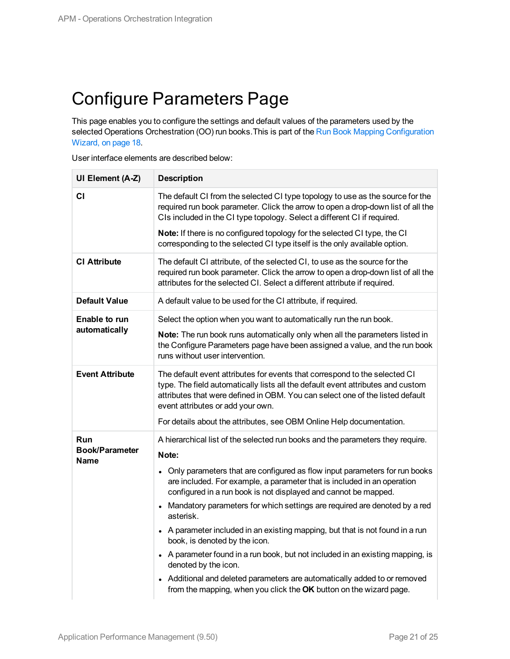### <span id="page-20-0"></span>Configure Parameters Page

This page enables you to configure the settings and default values of the parameters used by the selected Operations Orchestration (OO) run books. This is part of the Run Book Mapping [Configuration](#page-17-0) [Wizard,](#page-17-0) on page 18.

User interface elements are described below:

| UI Element (A-Z)                            | <b>Description</b>                                                                                                                                                                                                                                                                                                                                          |
|---------------------------------------------|-------------------------------------------------------------------------------------------------------------------------------------------------------------------------------------------------------------------------------------------------------------------------------------------------------------------------------------------------------------|
| СI                                          | The default CI from the selected CI type topology to use as the source for the<br>required run book parameter. Click the arrow to open a drop-down list of all the<br>CIs included in the CI type topology. Select a different CI if required.                                                                                                              |
|                                             | Note: If there is no configured topology for the selected CI type, the CI<br>corresponding to the selected CI type itself is the only available option.                                                                                                                                                                                                     |
| <b>CI Attribute</b>                         | The default CI attribute, of the selected CI, to use as the source for the<br>required run book parameter. Click the arrow to open a drop-down list of all the<br>attributes for the selected CI. Select a different attribute if required.                                                                                                                 |
| <b>Default Value</b>                        | A default value to be used for the CI attribute, if required.                                                                                                                                                                                                                                                                                               |
| Enable to run                               | Select the option when you want to automatically run the run book.                                                                                                                                                                                                                                                                                          |
| automatically                               | Note: The run book runs automatically only when all the parameters listed in<br>the Configure Parameters page have been assigned a value, and the run book<br>runs without user intervention.                                                                                                                                                               |
| <b>Event Attribute</b>                      | The default event attributes for events that correspond to the selected CI<br>type. The field automatically lists all the default event attributes and custom<br>attributes that were defined in OBM. You can select one of the listed default<br>event attributes or add your own.<br>For details about the attributes, see OBM Online Help documentation. |
|                                             |                                                                                                                                                                                                                                                                                                                                                             |
| <b>Run</b><br><b>Book/Parameter</b><br>Name | A hierarchical list of the selected run books and the parameters they require.<br>Note:                                                                                                                                                                                                                                                                     |
|                                             | • Only parameters that are configured as flow input parameters for run books<br>are included. For example, a parameter that is included in an operation<br>configured in a run book is not displayed and cannot be mapped.                                                                                                                                  |
|                                             | • Mandatory parameters for which settings are required are denoted by a red<br>asterisk.                                                                                                                                                                                                                                                                    |
|                                             | • A parameter included in an existing mapping, but that is not found in a run<br>book, is denoted by the icon.                                                                                                                                                                                                                                              |
|                                             | • A parameter found in a run book, but not included in an existing mapping, is<br>denoted by the icon.                                                                                                                                                                                                                                                      |
|                                             | • Additional and deleted parameters are automatically added to or removed<br>from the mapping, when you click the OK button on the wizard page.                                                                                                                                                                                                             |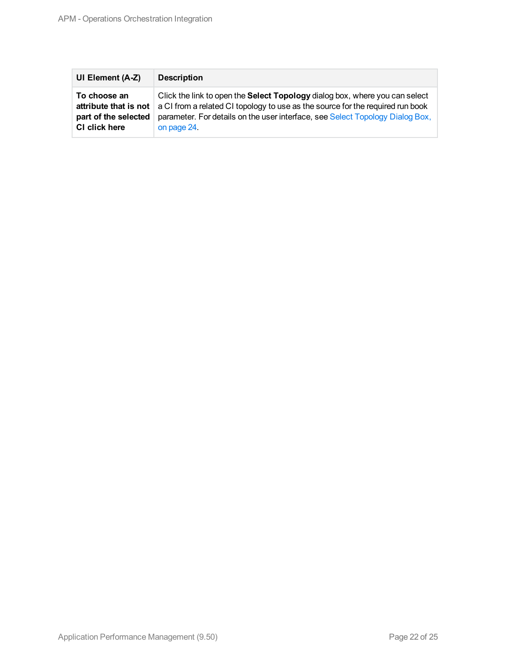| UI Element (A-Z)      | <b>Description</b>                                                             |
|-----------------------|--------------------------------------------------------------------------------|
| To choose an          | Click the link to open the Select Topology dialog box, where you can select    |
| attribute that is not | a CI from a related CI topology to use as the source for the required run book |
| part of the selected  | parameter. For details on the user interface, see Select Topology Dialog Box,  |
| CI click here         | on page 24.                                                                    |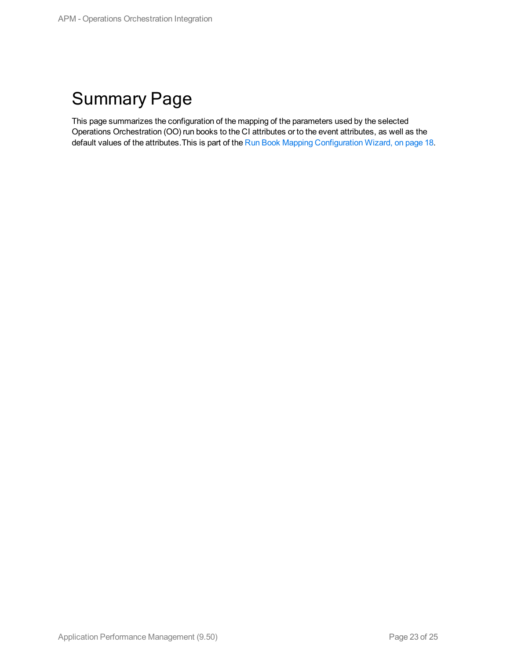## <span id="page-22-0"></span>Summary Page

This page summarizes the configuration of the mapping of the parameters used by the selected Operations Orchestration (OO) run books to the CI attributes or to the event attributes, as well as the default values of the attributes.This is part of the Run Book Mapping [Configuration](#page-17-0) Wizard, on page 18.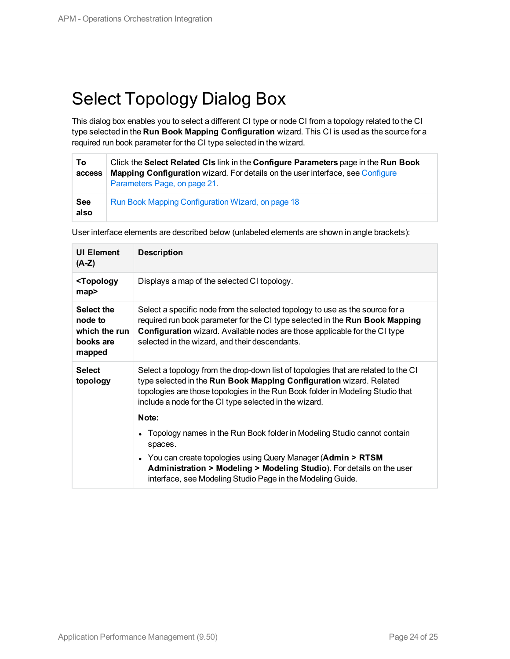## <span id="page-23-0"></span>Select Topology Dialog Box

This dialog box enables you to select a different CI type or node CI from a topology related to the CI type selected in the **Run Book Mapping Configuration** wizard. This CI is used as the source for a required run book parameter for the CI type selected in the wizard.

| To<br>access       | Click the Select Related CIs link in the Configure Parameters page in the Run Book<br><b>Mapping Configuration</b> wizard. For details on the user interface, see Configure<br>Parameters Page, on page 21. |
|--------------------|-------------------------------------------------------------------------------------------------------------------------------------------------------------------------------------------------------------|
| <b>See</b><br>also | Run Book Mapping Configuration Wizard, on page 18                                                                                                                                                           |

User interface elements are described below (unlabeled elements are shown in angle brackets):

| <b>UI Element</b><br>$(A-Z)$                                  | <b>Description</b>                                                                                                                                                                                                                                                                                             |
|---------------------------------------------------------------|----------------------------------------------------------------------------------------------------------------------------------------------------------------------------------------------------------------------------------------------------------------------------------------------------------------|
| <topology<br>map&gt;</topology<br>                            | Displays a map of the selected CI topology.                                                                                                                                                                                                                                                                    |
| Select the<br>node to<br>which the run<br>books are<br>mapped | Select a specific node from the selected topology to use as the source for a<br>required run book parameter for the CI type selected in the Run Book Mapping<br><b>Configuration</b> wizard. Available nodes are those applicable for the CI type<br>selected in the wizard, and their descendants.            |
| <b>Select</b><br>topology                                     | Select a topology from the drop-down list of topologies that are related to the CI<br>type selected in the Run Book Mapping Configuration wizard. Related<br>topologies are those topologies in the Run Book folder in Modeling Studio that<br>include a node for the CI type selected in the wizard.<br>Note: |
|                                                               | Topology names in the Run Book folder in Modeling Studio cannot contain<br>spaces.<br>• You can create topologies using Query Manager (Admin > RTSM<br><b>Administration &gt; Modeling &gt; Modeling Studio</b> ). For details on the user<br>interface, see Modeling Studio Page in the Modeling Guide.       |